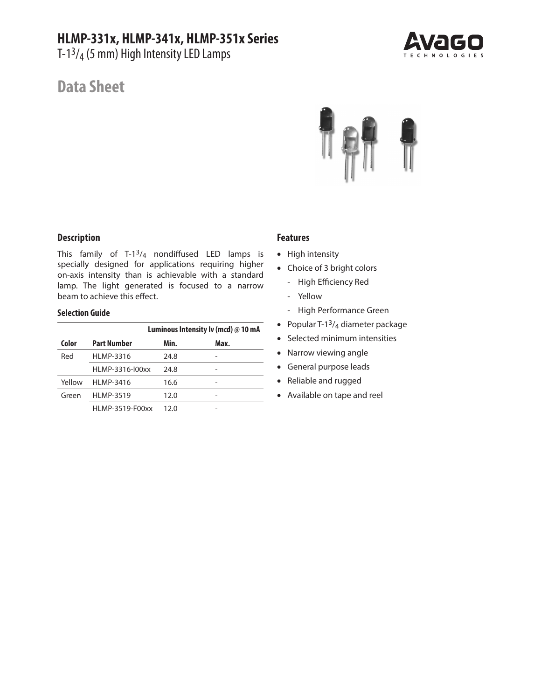# **HLMP-331x, HLMP-341x, HLMP-351x Series**

T-13/4 (5 mm) High Intensity LED Lamps



# **Data Sheet**



# **Description**

This family of T-1 $3/4$  nondiffused LED lamps is specially designed for applications requiring higher on-axis intensity than is achievable with a standard lamp. The light generated is focused to a narrow beam to achieve this effect.

## **Selection Guide**

|        |                    | Luminous Intensity Iv (mcd) @ 10 mA |      |  |
|--------|--------------------|-------------------------------------|------|--|
| Color  | <b>Part Number</b> | Min.                                | Max. |  |
| Red    | <b>HLMP-3316</b>   | 24.8                                |      |  |
|        | HLMP-3316-I00xx    | 24.8                                |      |  |
| Yellow | <b>HLMP-3416</b>   | 16.6                                |      |  |
| Green  | <b>HLMP-3519</b>   | 12.0                                |      |  |
|        | HLMP-3519-F00xx    | 12.0                                |      |  |

# **Features**

- High intensity
- Choice of 3 bright colors
	- High Efficiency Red
	- Yellow
	- High Performance Green
- Popular T-1 $3/4$  diameter package
- Selected minimum intensities
- Narrow viewing angle
- General purpose leads
- Reliable and rugged
- Available on tape and reel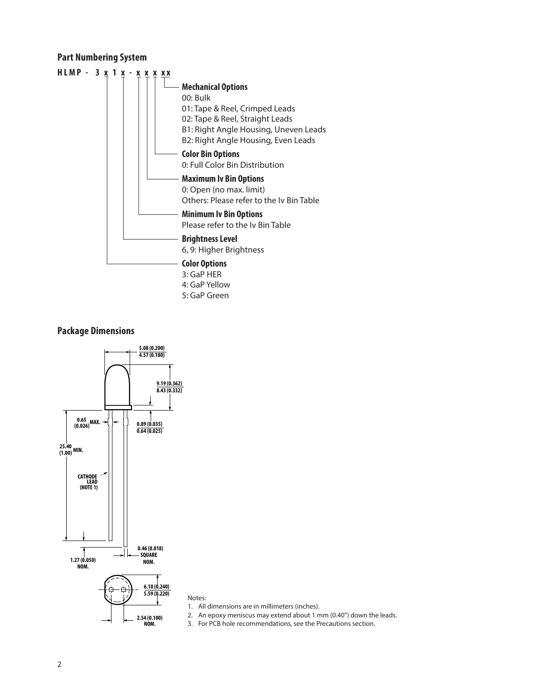# **Part Numbering System**



# **Package Dimensions**



Notes:

1. All dimensions are in millimeters (inches).

2. An epoxy meniscus may extend about 1 mm (0.40") down the leads.

3. For PCB hole recommendations, see the Precautions section.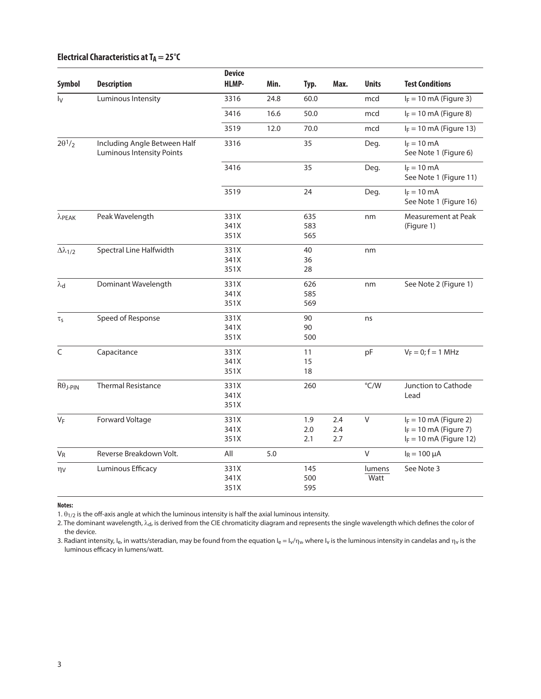# **Electrical Characteristics at TA = 25°C**

|                                       |                                                                  | <b>Device</b> |       |      |      |              |                                         |
|---------------------------------------|------------------------------------------------------------------|---------------|-------|------|------|--------------|-----------------------------------------|
| Symbol                                | <b>Description</b>                                               | <b>HLMP-</b>  | Min.  | Typ. | Max. | <b>Units</b> | <b>Test Conditions</b>                  |
| Iv                                    | Luminous Intensity                                               | 3316          | 24.8  | 60.0 |      | mcd          | $I_F = 10$ mA (Figure 3)                |
|                                       |                                                                  | 3416          | 16.6  | 50.0 |      | mcd          | $I_F = 10$ mA (Figure 8)                |
|                                       |                                                                  | 3519          | 12.0  | 70.0 |      | mcd          | $I_F = 10$ mA (Figure 13)               |
| $2\theta$ <sup>1</sup> / <sub>2</sub> | Including Angle Between Half<br><b>Luminous Intensity Points</b> | 3316          |       | 35   |      | Deg.         | $I_F = 10$ mA<br>See Note 1 (Figure 6)  |
|                                       |                                                                  | 3416          |       | 35   |      | Deg.         | $I_F = 10$ mA<br>See Note 1 (Figure 11) |
|                                       |                                                                  | 3519          |       | 24   |      | Deg.         | $I_F = 10$ mA<br>See Note 1 (Figure 16) |
| $\lambda$ PEAK                        | Peak Wavelength                                                  | 331X          |       | 635  |      | nm           | Measurement at Peak                     |
|                                       |                                                                  | 341X          |       | 583  |      |              | (Figure 1)                              |
|                                       |                                                                  | 351X          |       | 565  |      |              |                                         |
| $\Delta \lambda_{1/2}$                | Spectral Line Halfwidth                                          | 331X          |       | 40   |      | nm           |                                         |
|                                       |                                                                  | 341X          |       | 36   |      |              |                                         |
|                                       |                                                                  | 351X          |       | 28   |      |              |                                         |
| $\lambda_d$                           | Dominant Wavelength                                              | 331X          |       | 626  |      | nm           | See Note 2 (Figure 1)                   |
|                                       |                                                                  | 341X          |       | 585  |      |              |                                         |
|                                       |                                                                  | 351X          |       | 569  |      |              |                                         |
| $\tau_{\mathsf{S}}$                   | Speed of Response                                                | 331X          |       | 90   |      | ns           |                                         |
|                                       |                                                                  | 341X          |       | 90   |      |              |                                         |
|                                       |                                                                  | 351X          |       | 500  |      |              |                                         |
| $\subset$                             | Capacitance                                                      | 331X          |       | 11   |      | pF           | $V_F = 0; f = 1 MHz$                    |
|                                       |                                                                  | 341X          |       | 15   |      |              |                                         |
|                                       |                                                                  | 351X          |       | 18   |      |              |                                         |
| $R\theta$ J-PIN                       | <b>Thermal Resistance</b>                                        | 331X          |       | 260  |      | °C/W         | Junction to Cathode                     |
|                                       |                                                                  | 341X          |       |      |      |              | Lead                                    |
|                                       |                                                                  | 351X          |       |      |      |              |                                         |
| VF                                    | Forward Voltage                                                  | 331X          |       | 1.9  | 2.4  | $\mathsf{V}$ | $I_F = 10$ mA (Figure 2)                |
|                                       |                                                                  | 341X          |       | 2.0  | 2.4  |              | $I_F = 10$ mA (Figure 7)                |
|                                       |                                                                  | 351X          |       | 2.1  | 2.7  |              | $I_F = 10$ mA (Figure 12)               |
| $V_R$                                 | Reverse Breakdown Volt.                                          | All           | $5.0$ |      |      | $\vee$       | $I_R = 100 \mu A$                       |
| $\eta v$                              | Luminous Efficacy                                                | 331X          |       | 145  |      | lumens       | See Note 3                              |
|                                       |                                                                  | 341X          |       | 500  |      | Watt         |                                         |
|                                       |                                                                  | 351X          |       | 595  |      |              |                                         |

**Notes:**

1.  $\theta_{1/2}$  is the off-axis angle at which the luminous intensity is half the axial luminous intensity.

2. The dominant wavelength,  $\lambda_{\rm d}$ , is derived from the CIE chromaticity diagram and represents the single wavelength which defines the color of the device.

3. Radiant intensity, I<sub>e</sub>, in watts/steradian, may be found from the equation I<sub>e</sub> = I<sub>v</sub>/ $\eta_v$ , where I<sub>v</sub> is the luminous intensity in candelas and  $\eta_v$  is the luminous efficacy in lumens/watt.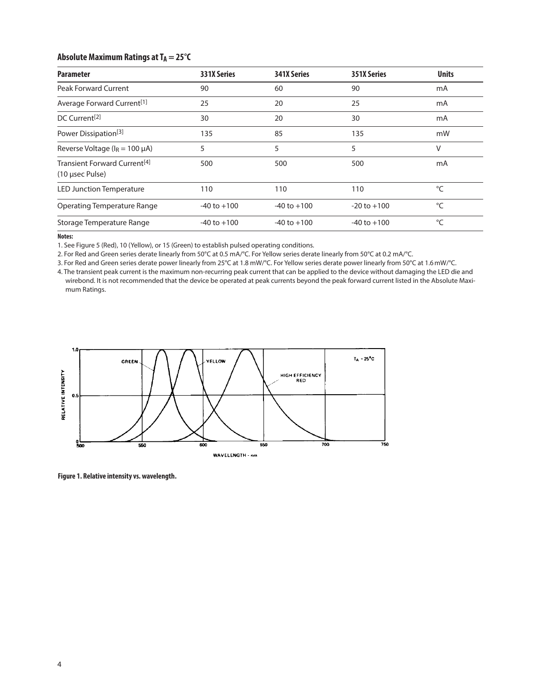# **Absolute Maximum Ratings at TA = 25°C**

| <b>Parameter</b>                                            | <b>331X Series</b> | <b>341X Series</b> | 351X Series     | <b>Units</b> |
|-------------------------------------------------------------|--------------------|--------------------|-----------------|--------------|
| <b>Peak Forward Current</b>                                 | 90                 | 60                 | 90              | mA           |
| Average Forward Current <sup>[1]</sup>                      | 25                 | 20                 | 25              | mA           |
| DC Current <sup>[2]</sup>                                   | 30                 | 20                 | 30              | mA           |
| Power Dissipation <sup>[3]</sup>                            | 135                | 85                 | 135             | mW           |
| Reverse Voltage ( $I_R$ = 100 $\mu$ A)                      | 5                  | 5                  | 5               | V            |
| Transient Forward Current <sup>[4]</sup><br>(10 µsec Pulse) | 500                | 500                | 500             | mA           |
| <b>LED Junction Temperature</b>                             | 110                | 110                | 110             | $\circ$ C    |
| Operating Temperature Range                                 | $-40$ to $+100$    | $-40$ to $+100$    | $-20$ to $+100$ | °C           |
| Storage Temperature Range                                   | $-40$ to $+100$    | $-40$ to $+100$    | $-40$ to $+100$ | °C           |

**Notes:**

1. See Figure 5 (Red), 10 (Yellow), or 15 (Green) to establish pulsed operating conditions.

2. For Red and Green series derate linearly from 50°C at 0.5 mA/°C. For Yellow series derate linearly from 50°C at 0.2 mA/°C.

3. For Red and Green series derate power linearly from 25°C at 1.8 mW/°C. For Yellow series derate power linearly from 50°C at 1.6mW/°C.

4. The transient peak current is the maximum non-recurring peak current that can be applied to the device without damaging the LED die and wirebond. It is not recommended that the device be operated at peak currents beyond the peak forward current listed in the Absolute Maximum Ratings.



**Figure 1. Relative intensity vs. wavelength.**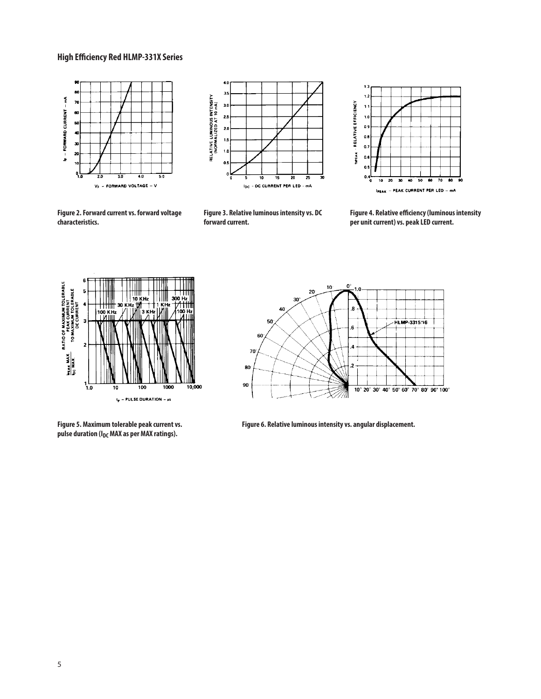## **High Efficiency Red HLMP-331X Series**





**Figure 2. Forward current vs. forward voltage characteristics.**

**Figure 3. Relative luminous intensity vs. DC forward current.**



**Figure 4. Relative efficiency (luminous intensity per unit current) vs. peak LED current.**



**Figure 5. Maximum tolerable peak current vs.**  pulse duration (I<sub>DC</sub> MAX as per MAX ratings).



**Figure 6. Relative luminous intensity vs. angular displacement.**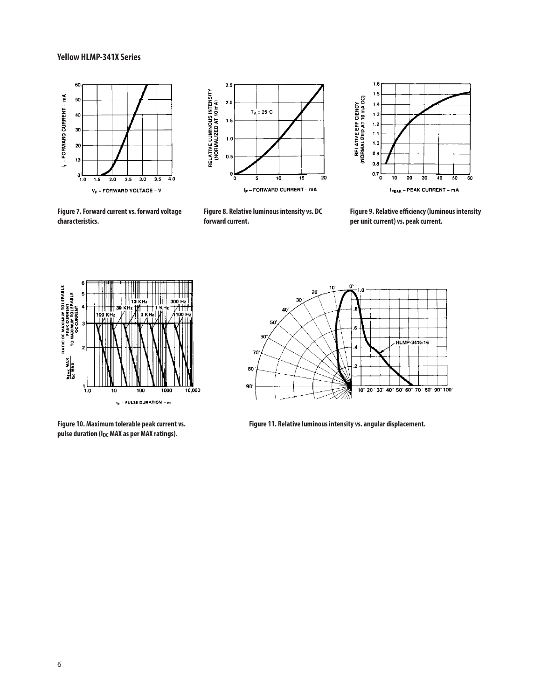#### **Yellow HLMP-341X Series**



**Figure 7. Forward current vs. forward voltage** 

**characteristics.**



**Figure 8. Relative luminous intensity vs. DC forward current.**



**Figure 9. Relative efficiency (luminous intensity per unit current) vs. peak current.**



**Figure 10. Maximum tolerable peak current vs.**  pulse duration (I<sub>DC</sub> MAX as per MAX ratings).



**Figure 11. Relative luminous intensity vs. angular displacement.**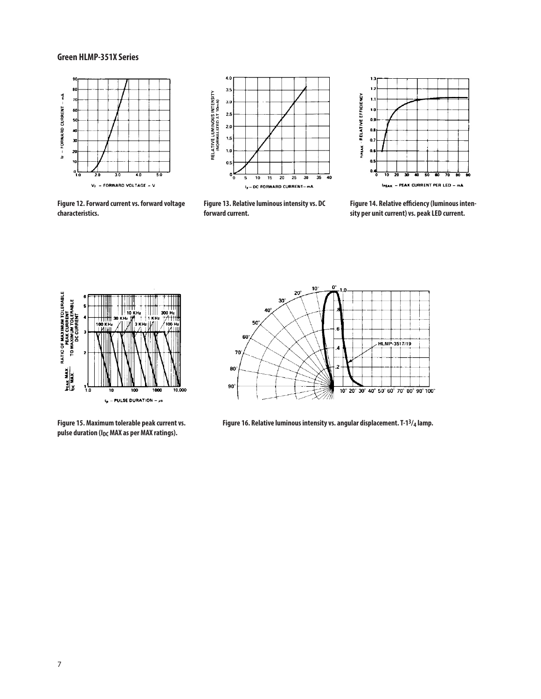#### **Green HLMP-351X Series**



**Figure 12. Forward current vs. forward voltage** 

**characteristics.**



**Figure 13. Relative luminous intensity vs. DC forward current.**



**Figure 14. Relative efficiency (luminous intensity per unit current) vs. peak LED current.**



**Figure 15. Maximum tolerable peak current vs.**  pulse duration (I<sub>DC</sub> MAX as per MAX ratings).



**Figure 16. Relative luminous intensity vs. angular displacement. T-13/4 lamp.**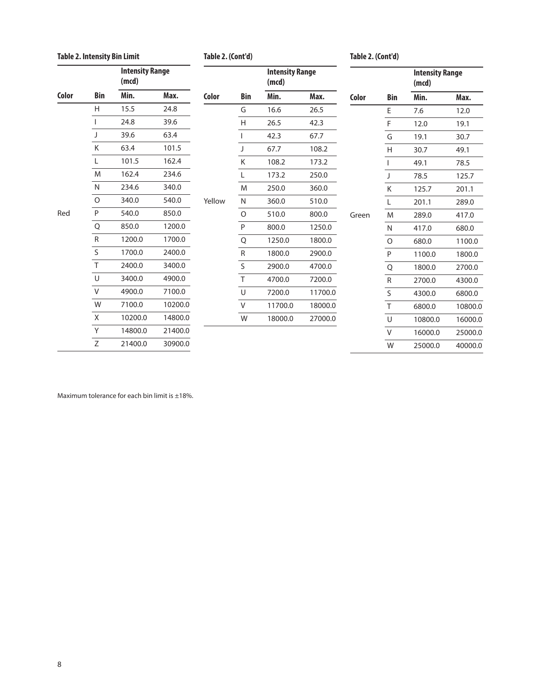### **Table 2. Intensity Bin Limit**

**Table 2. (Cont'd) Table 2. (Cont'd)**

 **Intensity Range**

 **(mcd) Color Bin Min. Max.** E 7.6 12.0 F 12.0 19.1 G 19.1 30.7 H 30.7 49.1 I 49.1 78.5 J 78.5 125.7 K 125.7 201.1 L 201.1 289.0 M 289.0 417.0 N 417.0 680.0 O 680.0 1100.0 P 1100.0 1800.0 Q 1800.0 2700.0 R 2700.0 4300.0 S 4300.0 6800.0 T 6800.0 10800.0 U 10800.0 16000.0 V 16000.0 25000.0 W 25000.0 40000.0

|       |            | <b>Intensity Range</b><br>(mcd) |         |        |              | <b>Intensity Range</b><br>(mcd) |         |       |
|-------|------------|---------------------------------|---------|--------|--------------|---------------------------------|---------|-------|
| Color | <b>Bin</b> | Min.                            | Max.    | Color  | <b>Bin</b>   | Min.                            | Max.    | Color |
|       | H          | 15.5                            | 24.8    |        | G            | 16.6                            | 26.5    |       |
|       |            | 24.8                            | 39.6    |        | Н            | 26.5                            | 42.3    |       |
|       | J          | 39.6                            | 63.4    |        |              | 42.3                            | 67.7    |       |
|       | K          | 63.4                            | 101.5   |        | J            | 67.7                            | 108.2   |       |
|       | Г          | 101.5                           | 162.4   |        | Κ            | 108.2                           | 173.2   |       |
|       | M          | 162.4                           | 234.6   |        | L            | 173.2                           | 250.0   |       |
|       | N          | 234.6                           | 340.0   |        | M            | 250.0                           | 360.0   |       |
|       | $\circ$    | 340.0                           | 540.0   | Yellow | $\mathsf{N}$ | 360.0                           | 510.0   |       |
| Red   | P          | 540.0                           | 850.0   |        | $\circ$      | 510.0                           | 800.0   | Green |
|       | Q          | 850.0                           | 1200.0  |        | $\mathsf{P}$ | 800.0                           | 1250.0  |       |
|       | ${\sf R}$  | 1200.0                          | 1700.0  |        | Q            | 1250.0                          | 1800.0  |       |
|       | $\sf S$    | 1700.0                          | 2400.0  |        | ${\sf R}$    | 1800.0                          | 2900.0  |       |
|       | T          | 2400.0                          | 3400.0  |        | S            | 2900.0                          | 4700.0  |       |
|       | U          | 3400.0                          | 4900.0  |        | T            | 4700.0                          | 7200.0  |       |
|       | V          | 4900.0                          | 7100.0  |        | U            | 7200.0                          | 11700.0 |       |
|       | W          | 7100.0                          | 10200.0 |        | V            | 11700.0                         | 18000.0 |       |
|       | X          | 10200.0                         | 14800.0 |        | W            | 18000.0                         | 27000.0 |       |
|       | Y          | 14800.0                         | 21400.0 |        |              |                                 |         |       |
|       | Z          | 21400.0                         | 30900.0 |        |              |                                 |         |       |

Red

**Color Bin Min. Max.**

Maximum tolerance for each bin limit is ±18%.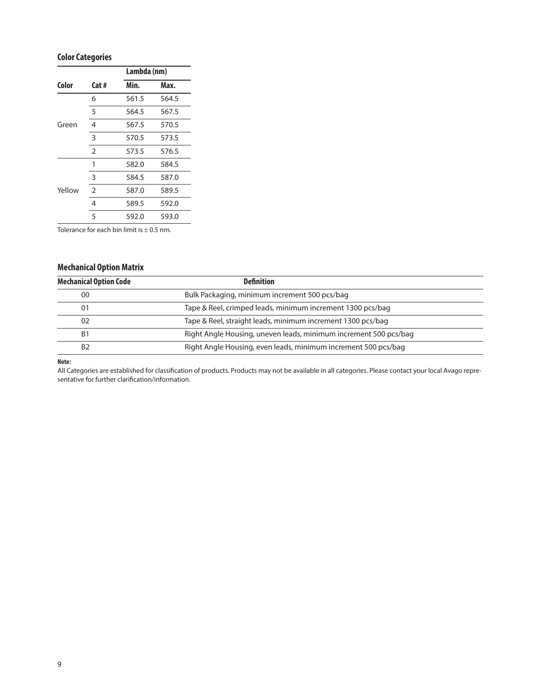## **Color Categories**

|        |                | Lambda (nm) |       |  |
|--------|----------------|-------------|-------|--|
| Color  | Cat#           | Min.        | Max.  |  |
|        | 6              | 561.5       | 564.5 |  |
|        | 5              | 564.5       | 567.5 |  |
| Green  | 4              | 567.5       | 570.5 |  |
|        | 3              | 570.5       | 573.5 |  |
|        | $\overline{2}$ | 573.5       | 576.5 |  |
|        | 1              | 582.0       | 584.5 |  |
|        | 3              | 584.5       | 587.0 |  |
| Yellow | $\overline{2}$ | 587.0       | 589.5 |  |
|        | 4              | 589.5       | 592.0 |  |
|        | 5              | 592.0       | 593.0 |  |

Tolerance for each bin limit is  $\pm$  0.5 nm.

## **Mechanical Option Matrix**

| <b>Mechanical Option Code</b><br><b>Definition</b> |                                                                  |  |
|----------------------------------------------------|------------------------------------------------------------------|--|
| 00                                                 | Bulk Packaging, minimum increment 500 pcs/bag                    |  |
| 01                                                 | Tape & Reel, crimped leads, minimum increment 1300 pcs/bag       |  |
| 02                                                 | Tape & Reel, straight leads, minimum increment 1300 pcs/bag      |  |
| B1                                                 | Right Angle Housing, uneven leads, minimum increment 500 pcs/bag |  |
| B <sub>2</sub>                                     | Right Angle Housing, even leads, minimum increment 500 pcs/bag   |  |

#### **Note:**

All Categories are established for classification of products. Products may not be available in all categories. Please contact your local Avago representative for further clarification/information.